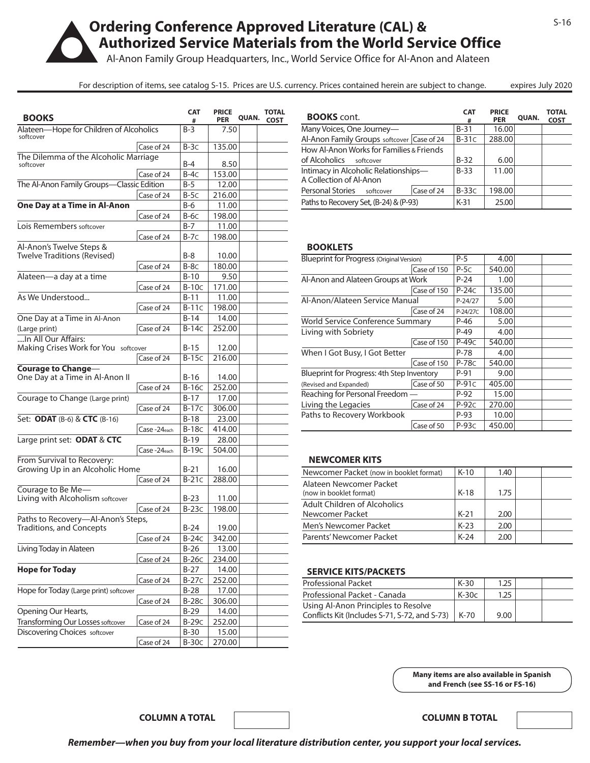# **Ordering Conference Approved Literature (CAL) & Authorized Service Materials from the World Service Office**

Al-Anon Family Group Headquarters, Inc., World Service Office for Al-Anon and Alateen

For description of items, see catalog S-15. Prices are U.S. currency. Prices contained herein are subject to change. expires July 2020

| <b>BOOKS</b>                                         |                         | <b>CAT</b><br># | <b>PRICE</b><br><b>PER</b> | QUAN. | <b>TOTAL</b><br><b>COST</b> |
|------------------------------------------------------|-------------------------|-----------------|----------------------------|-------|-----------------------------|
| Alateen-Hope for Children of Alcoholics<br>softcover |                         | $B-3$           | 7.50                       |       |                             |
|                                                      | Case of 24              | $B-3C$          | 135.00                     |       |                             |
| The Dilemma of the Alcoholic Marriage                |                         |                 |                            |       |                             |
| softcover                                            |                         | $B-4$           | 8.50                       |       |                             |
|                                                      | Case of 24              | $B-4C$          | 153.00                     |       |                             |
| The Al-Anon Family Groups-Classic Edition            |                         | $B-5$           | 12.00                      |       |                             |
|                                                      | Case of 24              | $B-5C$          | 216.00                     |       |                             |
| One Day at a Time in Al-Anon                         |                         | B-6             | 11.00                      |       |                             |
|                                                      | Case of 24              | $B-6C$          | 198.00                     |       |                             |
| Lois Remembers softcover                             |                         | $B-7$           | 11.00                      |       |                             |
|                                                      | Case of 24              | $B-7C$          | 198.00                     |       |                             |
| Al-Anon's Twelve Steps &                             |                         |                 |                            |       |                             |
| Twelve Traditions (Revised)                          |                         | B-8             | 10.00                      |       |                             |
|                                                      | Case of 24              | $B-8C$          | 180.00                     |       |                             |
| Alateen-a day at a time                              |                         | $B-10$          | 9.50                       |       |                             |
|                                                      | Case of 24              | $B-10C$         | 171.00                     |       |                             |
| As We Understood                                     |                         | $B-11$          | 11.00                      |       |                             |
|                                                      | Case of 24              | $B-11C$         | 198.00                     |       |                             |
| One Day at a Time in Al-Anon                         |                         | $B-14$          | 14.00                      |       |                             |
| (Large print)                                        | Case of 24              | $B-14C$         | 252.00                     |       |                             |
| In All Our Affairs:                                  |                         |                 |                            |       |                             |
| Making Crises Work for You softcover                 |                         | $B-15$          | 12.00                      |       |                             |
|                                                      | Case of 24              | $B-15C$         | 216.00                     |       |                             |
| <b>Courage to Change-</b>                            |                         |                 |                            |       |                             |
| One Day at a Time in Al-Anon II                      |                         | $B-16$          | 14.00                      |       |                             |
|                                                      | Case of 24              | $B-16C$         | 252.00                     |       |                             |
| Courage to Change (Large print)                      |                         | $B-17$          | 17.00                      |       |                             |
|                                                      | Case of 24              | $B-17C$         | 306.00                     |       |                             |
| Set: <b>ODAT</b> (B-6) & <b>CTC</b> (B-16)           |                         | $B-18$          | 23.00                      |       |                             |
|                                                      | Case-24 <sub>each</sub> | <b>B-18c</b>    | 414.00                     |       |                             |
| Large print set: ODAT & CTC                          |                         | $B-19$          | 28.00                      |       |                             |
|                                                      | Case-24 <sub>each</sub> | $B-19C$         | 504.00                     |       |                             |
| From Survival to Recovery:                           |                         |                 |                            |       |                             |
| Growing Up in an Alcoholic Home                      |                         | $B-21$          | 16.00                      |       |                             |
|                                                      | Case of 24              | $B-21C$         | 288.00                     |       |                             |
| Courage to Be Me-                                    |                         |                 |                            |       |                             |
| Living with Alcoholism softcover                     |                         | $B-23$          | 11.00                      |       |                             |
|                                                      | Case of 24              | $B-23C$         | 198.00                     |       |                             |
| Paths to Recovery-Al-Anon's Steps,                   |                         |                 |                            |       |                             |
| <b>Traditions, and Concepts</b>                      |                         | B-24            | 19.00                      |       |                             |
|                                                      | Case of 24              | $B-24C$         | 342.00                     |       |                             |
| Living Today in Alateen                              |                         | $B-26$          | 13.00                      |       |                             |
|                                                      | Case of 24              | $B-26C$         | 234.00                     |       |                             |
| <b>Hope for Today</b>                                |                         | $B-27$          | 14.00                      |       |                             |
|                                                      | Case of 24              | $B-27C$         | 252.00                     |       |                             |
| Hope for Today (Large print) softcover               |                         | $B-28$          | 17.00                      |       |                             |
|                                                      | Case of 24              | <b>B-28c</b>    | 306.00                     |       |                             |
| Opening Our Hearts,                                  |                         | $B-29$          | 14.00                      |       |                             |
| <b>Transforming Our Losses softcover</b>             | Case of 24              | $B-29C$         | 252.00                     |       |                             |
| <b>Discovering Choices</b> softcover                 |                         | $B-30$          | 15.00                      |       |                             |
|                                                      | Case of 24              | $B-30C$         | 270.00                     |       |                             |
|                                                      |                         |                 |                            |       |                             |

| <b>BOOKS</b> cont.                         |            | <b>CAT</b><br># | <b>PRICE</b><br><b>PER</b> | QUAN. | <b>TOTAL</b><br><b>COST</b> |
|--------------------------------------------|------------|-----------------|----------------------------|-------|-----------------------------|
| Many Voices, One Journey—                  |            | $B-31$          | 16.00                      |       |                             |
| Al-Anon Family Groups softcover Case of 24 |            | $B-31C$         | 288.00                     |       |                             |
| How Al-Anon Works for Families & Friends   |            |                 |                            |       |                             |
| of Alcoholics<br>softcover                 |            | $B-32$          | 6.00                       |       |                             |
| Intimacy in Alcoholic Relationships-       |            | $B-33$          | 11.00                      |       |                             |
| A Collection of Al-Anon                    |            |                 |                            |       |                             |
| Personal Stories<br>softcover              | Case of 24 | $B-33C$         | 198.00                     |       |                             |
| Paths to Recovery Set, (B-24) & (P-93)     |            | $K-31$          | 25.00                      |       |                             |

#### **BOOKLETS**

| <b>Blueprint for Progress (Original Version)</b> |             | $P-5$     | 4.00   |  |
|--------------------------------------------------|-------------|-----------|--------|--|
|                                                  | Case of 150 | $P-5C$    | 540.00 |  |
| Al-Anon and Alateen Groups at Work               |             | $P-24$    | 1.00   |  |
|                                                  | Case of 150 | $P-24C$   | 135.00 |  |
| Al-Anon/Alateen Service Manual                   |             | $P-24/27$ | 5.00   |  |
|                                                  | Case of 24  | P-24/27C  | 108.00 |  |
| World Service Conference Summary                 |             | $P-46$    | 5.00   |  |
| Living with Sobriety                             |             | $P-49$    | 4.00   |  |
|                                                  | Case of 150 | $P-49C$   | 540.00 |  |
| When I Got Busy, I Got Better                    |             | $P-78$    | 4.00   |  |
|                                                  | Case of 150 | $P-78C$   | 540.00 |  |
| Blueprint for Progress: 4th Step Inventory       |             | $P-91$    | 9.00   |  |
| (Revised and Expanded)                           | Case of 50  | $P-91C$   | 405.00 |  |
| Reaching for Personal Freedom                    |             | $P-92$    | 15.00  |  |
| Living the Legacies                              | Case of 24  | $P-92C$   | 270.00 |  |
| Paths to Recovery Workbook                       |             | $P-93$    | 10.00  |  |
|                                                  | Case of 50  | $P-93C$   | 450.00 |  |

### **NEWCOMER KITS**

| Newcomer Packet (now in booklet format)            | $K-10$ | 1.40 |  |
|----------------------------------------------------|--------|------|--|
| Alateen Newcomer Packet<br>(now in booklet format) | $K-18$ | 1.75 |  |
| Adult Children of Alcoholics                       |        |      |  |
| Newcomer Packet                                    | $K-21$ | 2.00 |  |
| Men's Newcomer Packet                              | $K-23$ | 2.00 |  |
| Parents' Newcomer Packet                           | $K-24$ | 2.00 |  |

# **SERVICE KITS/PACKETS**

| <b>Professional Packet</b>                    | $K-30$  | 1.25 |  |
|-----------------------------------------------|---------|------|--|
| Professional Packet - Canada                  | $K-30c$ | 1.25 |  |
| Using Al-Anon Principles to Resolve           |         |      |  |
| Conflicts Kit (Includes S-71, S-72, and S-73) | $K-70$  | 9.00 |  |

**Many items are also available in Spanish and French (see SS-16 or FS-16)**

**COLUMN A TOTAL COLUMN B TOTAL**

|  |  |  | Remember—when you buy from your local literature distribution center, you support your local services. |
|--|--|--|--------------------------------------------------------------------------------------------------------|
|--|--|--|--------------------------------------------------------------------------------------------------------|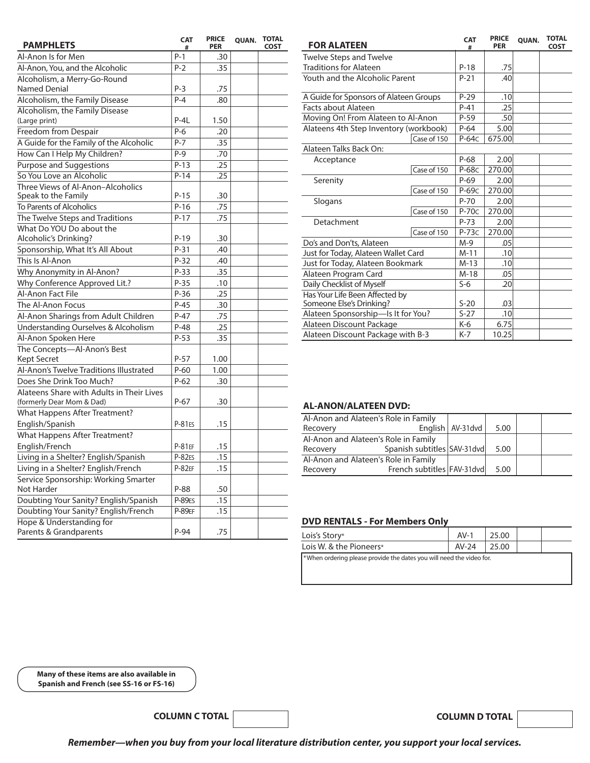| <b>PAMPHLETS</b>                          | <b>CAT</b><br># | <b>PRICE</b><br><b>PER</b> | QUAN. | <b>TOTAL</b><br><b>COST</b> | <b>FOR ALATEEN</b>            |
|-------------------------------------------|-----------------|----------------------------|-------|-----------------------------|-------------------------------|
| Al-Anon Is for Men                        | $P-1$           | .30                        |       |                             | Twelve Steps and              |
| Al-Anon, You, and the Alcoholic           | $P-2$           | .35                        |       |                             | <b>Traditions for Alat</b>    |
| Alcoholism, a Merry-Go-Round              |                 |                            |       |                             | Youth and the Alc             |
| Named Denial                              | $P-3$           | .75                        |       |                             |                               |
| Alcoholism, the Family Disease            | $P - 4$         | .80                        |       |                             | A Guide for Sponse            |
| Alcoholism, the Family Disease            |                 |                            |       |                             | Facts about Alate             |
| (Large print)                             | $P-4L$          | 1.50                       |       |                             | Moving On! From               |
| Freedom from Despair                      | $P-6$           | .20                        |       |                             | Alateens 4th Step             |
| A Guide for the Family of the Alcoholic   | $P - 7$         | .35                        |       |                             |                               |
| How Can I Help My Children?               | $P-9$           | .70                        |       |                             | Alateen Talks Back            |
| Purpose and Suggestions                   | $P-13$          | .25                        |       |                             | Acceptance                    |
| So You Love an Alcoholic                  | $P-14$          | .25                        |       |                             |                               |
| Three Views of Al-Anon-Alcoholics         |                 |                            |       |                             | Serenity                      |
| Speak to the Family                       | $P-15$          | .30                        |       |                             |                               |
| To Parents of Alcoholics                  | $P-16$          | .75                        |       |                             | Slogans                       |
| The Twelve Steps and Traditions           | $P-17$          | .75                        |       |                             | Detachment                    |
| What Do YOU Do about the                  |                 |                            |       |                             |                               |
| Alcoholic's Drinking?                     | $P-19$          | .30                        |       |                             | Do's and Don'ts, A            |
| Sponsorship, What It's All About          | P-31            | .40                        |       |                             | Just for Today, Alat          |
| This Is Al-Anon                           | $P-32$          | .40                        |       |                             | Just for Today, Ala           |
| Why Anonymity in Al-Anon?                 | P-33            | .35                        |       |                             | Alateen Program               |
| Why Conference Approved Lit.?             | $P-35$          | .10                        |       |                             | Daily Checklist of M          |
| Al-Anon Fact File                         | $P-36$          | .25                        |       |                             | Has Your Life Been            |
| The Al-Anon Focus                         | $P-45$          | .30                        |       |                             | Someone Else's Dri            |
| Al-Anon Sharings from Adult Children      | $P-47$          | .75                        |       |                             | Alateen Sponsors              |
| Understanding Ourselves & Alcoholism      | $P-48$          | .25                        |       |                             | Alateen Discount              |
| Al-Anon Spoken Here                       | $P-53$          | .35                        |       |                             | Alateen Discount              |
| The Concepts-Al-Anon's Best               |                 |                            |       |                             |                               |
| Kept Secret                               | $P-57$          | 1.00                       |       |                             |                               |
| Al-Anon's Twelve Traditions Illustrated   | $P-60$          | 1.00                       |       |                             |                               |
| Does She Drink Too Much?                  | $P-62$          | .30                        |       |                             |                               |
| Alateens Share with Adults in Their Lives |                 |                            |       |                             |                               |
| (formerly Dear Mom & Dad)                 | $P-67$          | .30                        |       |                             | <b>AL-ANON/ALAT</b>           |
| What Happens After Treatment?             |                 |                            |       |                             |                               |
| English/Spanish                           | <b>P-81ES</b>   | .15                        |       |                             | Al-Anon and Alate             |
| What Happens After Treatment?             |                 |                            |       |                             | Recovery                      |
| English/French                            | <b>P-81EF</b>   | .15                        |       |                             | Al-Anon and Alate<br>Recovery |
| Living in a Shelter? English/Spanish      | P-82ES          | .15                        |       |                             | Al-Anon and Alate             |
| Living in a Shelter? English/French       | $P-82EF$        | .15                        |       |                             | Recovery                      |
| Service Sponsorship: Working Smarter      |                 |                            |       |                             |                               |
| Not Harder                                | P-88            | .50                        |       |                             |                               |
| Doubting Your Sanity? English/Spanish     | <b>P-89ES</b>   | .15                        |       |                             |                               |
| Doubting Your Sanity? English/French      | <b>P-89EF</b>   | .15                        |       |                             |                               |
| Hope & Understanding for                  |                 |                            |       |                             | <b>DVD RENTALS -</b>          |
| Parents & Grandparents                    | $P-94$          | .75                        |       |                             | Inic's <i>Storus</i>          |

| <b>FOR ALATEEN</b>                                         |             | <b>CAT</b><br># | <b>PRICE</b><br><b>PER</b> | <b>OUAN.</b> | <b>TOTAL</b><br><b>COST</b> |
|------------------------------------------------------------|-------------|-----------------|----------------------------|--------------|-----------------------------|
| <b>Twelve Steps and Twelve</b>                             |             |                 |                            |              |                             |
| <b>Traditions for Alateen</b>                              |             | $P-18$          | .75                        |              |                             |
| Youth and the Alcoholic Parent                             |             | $P-21$          | .40                        |              |                             |
| A Guide for Sponsors of Alateen Groups                     |             | $P-29$          | .10                        |              |                             |
| Facts about Alateen                                        |             | $P-41$          | .25                        |              |                             |
| Moving On! From Alateen to Al-Anon                         |             | $P-59$          | .50                        |              |                             |
| Alateens 4th Step Inventory (workbook)                     |             | $P-64$          | 5.00                       |              |                             |
|                                                            | Case of 150 | $P-64C$         | 675.00                     |              |                             |
| Alateen Talks Back On:                                     |             |                 |                            |              |                             |
| Acceptance                                                 |             | $P-68$          | 2.00                       |              |                             |
|                                                            | Case of 150 | P-68c           | 270.00                     |              |                             |
| Serenity                                                   |             | $P-69$          | 2.00                       |              |                             |
|                                                            | Case of 150 | P-69c           | 270.00                     |              |                             |
| Slogans                                                    |             | $P-70$          | 2.00                       |              |                             |
|                                                            | Case of 150 | $P-70C$         | 270.00                     |              |                             |
| Detachment                                                 |             | $P-73$          | 2.00                       |              |                             |
|                                                            | Case of 150 | $P-73C$         | 270.00                     |              |                             |
| Do's and Don'ts, Alateen                                   |             | $M-9$           | .05                        |              |                             |
| Just for Today, Alateen Wallet Card                        |             | $M-11$          | .10                        |              |                             |
| Just for Today, Alateen Bookmark                           |             | $M-13$          | .10                        |              |                             |
| Alateen Program Card                                       |             | $M-18$          | .05                        |              |                             |
| Daily Checklist of Myself                                  |             | $S-6$           | .20                        |              |                             |
| Has Your Life Been Affected by<br>Someone Else's Drinking? |             | $S-20$          | .03                        |              |                             |
| Alateen Sponsorship-Is It for You?                         |             | $S-27$          | .10                        |              |                             |
| Alateen Discount Package                                   |             | $K-6$           | 6.75                       |              |                             |
| Alateen Discount Package with B-3                          |             | $K-7$           | 10.25                      |              |                             |

# **AL-ANON/ALATEEN DVD:**

| Al-Anon and Alateen's Role in Family |                             |                     |      |  |
|--------------------------------------|-----------------------------|---------------------|------|--|
| Recovery                             |                             | English   AV-31 dvd | 5.00 |  |
| Al-Anon and Alateen's Role in Family |                             |                     |      |  |
| Recovery                             | Spanish subtitles SAV-31dvd |                     | 5.00 |  |
| Al-Anon and Alateen's Role in Family |                             |                     |      |  |
| Recovery                             | French subtitles FAV-31dvd  |                     | 5.00 |  |

# **DVD RENTALS - For Members Only**

| Lois's Story*                                                        | $AV-1$  | 25.00 |  |
|----------------------------------------------------------------------|---------|-------|--|
| Lois W. & the Pioneers*                                              | $AV-24$ | 25.00 |  |
| *When ordering please provide the dates you will need the video for. |         |       |  |

**Many of these items are also available in Spanish and French (see SS-16 or FS-16)**

**COLUMN C TOTAL**

**COLUMN D TOTAL**

*Remember—when you buy from your local literature distribution center, you support your local services.*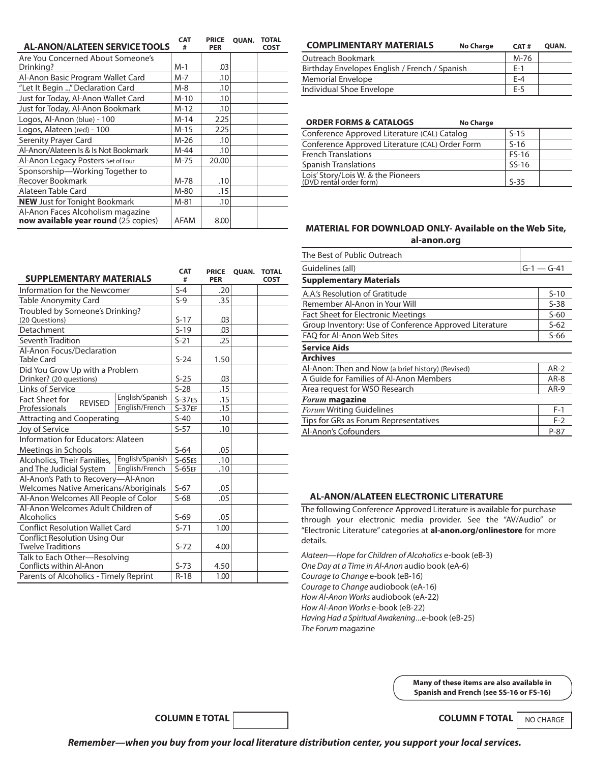| <b>AL-ANON/ALATEEN SERVICE TOOLS</b> | <b>CAT</b><br># | <b>PRICE</b><br><b>PER</b> | <b>OUAN.</b> | <b>TOTAL</b><br>COST |
|--------------------------------------|-----------------|----------------------------|--------------|----------------------|
| Are You Concerned About Someone's    |                 |                            |              |                      |
| Drinking?                            | $M-1$           | .03                        |              |                      |
| Al-Anon Basic Program Wallet Card    | $M - 7$         | .10                        |              |                      |
| "Let It Begin " Declaration Card     | $M-8$           | .10                        |              |                      |
| Just for Today, Al-Anon Wallet Card  | $M-10$          | .10                        |              |                      |
| Just for Today, Al-Anon Bookmark     | $M-12$          | .10                        |              |                      |
| Logos, Al-Anon (blue) - 100          | $M-14$          | 2.25                       |              |                      |
| Logos, Alateen (red) - 100           | $M-15$          | 2.25                       |              |                      |
| Serenity Prayer Card                 | $M-26$          | .10                        |              |                      |
| Al-Anon/Alateen Is & Is Not Bookmark | M-44            | .10                        |              |                      |
| Al-Anon Legacy Posters Set of Four   | M-75            | 20.00                      |              |                      |
| Sponsorship-Working Together to      |                 |                            |              |                      |
| Recover Bookmark                     | M-78            | .10                        |              |                      |
| Alateen Table Card                   | M-80            | .15                        |              |                      |
| <b>NEW</b> Just for Tonight Bookmark | $M-81$          | .10                        |              |                      |
| Al-Anon Faces Alcoholism magazine    |                 |                            |              |                      |
| now available year round (25 copies) | <b>AFAM</b>     | 8.00                       |              |                      |

| <b>COMPLIMENTARY MATERIALS</b>                | <b>No Charge</b> | CAT#  | <b>OUAN.</b> |
|-----------------------------------------------|------------------|-------|--------------|
| Outreach Bookmark                             |                  | M-76  |              |
| Birthday Envelopes English / French / Spanish |                  | $F-1$ |              |
| <b>Memorial Envelope</b>                      |                  | $F-4$ |              |
| Individual Shoe Envelope                      |                  | $F-5$ |              |

#### Conference Approved Literature (CAL) Catalog <br>
Conference Approved Literature (CAL) Order Form 
S-16 Conference Approved Literature (CAL) Order Form French Translations FS-16 Spanish Translations Spanish Translations SS-16 Lois' Story/Lois W. & the Pioneers<br>(DVD rental order form) S-35 **No Charge ORDER FORMS & CATALOGS**

# **MATERIAL FOR DOWNLOAD ONLY- Available on the Web Site, al-anon.org**

| The Best of Public Outreach                            |              |  |
|--------------------------------------------------------|--------------|--|
| Guidelines (all)                                       | $G-1 - G-41$ |  |
| <b>Supplementary Materials</b>                         |              |  |
| A.A.'s Resolution of Gratitude                         | $S-10$       |  |
| Remember Al-Anon in Your Will                          |              |  |
| Fact Sheet for Electronic Meetings                     | $S-60$       |  |
| Group Inventory: Use of Conference Approved Literature |              |  |
| FAO for Al-Anon Web Sites                              |              |  |
| <b>Service Aids</b>                                    |              |  |
| <b>Archives</b>                                        |              |  |
| Al-Anon: Then and Now (a brief history) (Revised)      |              |  |
| A Guide for Families of Al-Anon Members                |              |  |
| Area request for WSO Research                          |              |  |
| <b>Forum magazine</b>                                  |              |  |
| <b>Forum Writing Guidelines</b>                        |              |  |
| Tips for GRs as Forum Representatives                  |              |  |
| Al-Anon's Cofounders                                   | $P-87$       |  |

#### **AL-ANON/ALATEEN ELECTRONIC LITERATURE**

The following Conference Approved Literature is available for purchase through your electronic media provider. See the "AV/Audio" or "Electronic Literature" categories at **al***‑***anon.org/onlinestore** for more details.

*Alateen—Hope for Children of Alcoholics* e-book (eB-3) *One Day at a Time in Al‑Anon* audio book (eA-6) *Courage to Change* e-book (eB-16) *Courage to Change* audiobook (eA-16) *How Al-Anon Works* audiobook (eA-22) *How Al‑Anon Works* e-book (eB-22) *Having Had a Spiritual Awakening ... e-book (eB-25) The Forum* magazine

> **Many of these items are also available in Spanish and French (see SS-16 or FS-16)**

> > NO CHARGE

| <b>SUPPLEMENTARY MATERIALS</b>                                                     | CAT<br>#         | <b>PRICE</b><br><b>PER</b> | QUAN. | <b>TOTAL</b><br><b>COST</b> |
|------------------------------------------------------------------------------------|------------------|----------------------------|-------|-----------------------------|
| Information for the Newcomer                                                       | $S-4$            | .20                        |       |                             |
| Table Anonymity Card                                                               | $S-9$            | .35                        |       |                             |
| Troubled by Someone's Drinking?                                                    |                  |                            |       |                             |
| (20 Questions)                                                                     | $S-17$<br>$S-19$ | .03                        |       |                             |
| Detachment                                                                         |                  | .03                        |       |                             |
| Seventh Tradition                                                                  | $S-21$           | .25                        |       |                             |
| Al-Anon Focus/Declaration<br><b>Table Card</b>                                     | $S-24$           | 1.50                       |       |                             |
| Did You Grow Up with a Problem<br>Drinker? (20 questions)                          | $S-25$           | .03                        |       |                             |
| <b>Links of Service</b>                                                            | $S-28$           | .15                        |       |                             |
| English/Spanish<br><b>Fact Sheet for</b><br><b>REVISED</b>                         | $S-37ES$         | .15                        |       |                             |
| English/French<br>Professionals                                                    | $S-37EF$         | .15                        |       |                             |
| <b>Attracting and Cooperating</b>                                                  | $S-40$           | .10                        |       |                             |
| Joy of Service                                                                     | $S-57$           | .10                        |       |                             |
| Information for Educators: Alateen                                                 |                  |                            |       |                             |
| Meetings in Schools                                                                | $S-64$           | .05                        |       |                             |
| English/Spanish<br>Alcoholics, Their Families,                                     | $S-65ES$         | .10                        |       |                             |
| English/French<br>and The Judicial System                                          | $S-65EF$         | .10                        |       |                             |
| Al-Anon's Path to Recovery-Al-Anon<br><b>Welcomes Native Americans/Aboriginals</b> | $S-67$           | .05                        |       |                             |
| Al-Anon Welcomes All People of Color                                               | $S-68$           | .05                        |       |                             |
| Al-Anon Welcomes Adult Children of<br><b>Alcoholics</b>                            | $S-69$           | .05                        |       |                             |
| <b>Conflict Resolution Wallet Card</b>                                             | $S-71$           | 1.00                       |       |                             |
| <b>Conflict Resolution Using Our</b><br><b>Twelve Traditions</b>                   | $S-72$           | 4.00                       |       |                             |
| Talk to Each Other-Resolving<br>Conflicts within Al-Anon                           | $S-73$           | 4.50                       |       |                             |
| Parents of Alcoholics - Timely Reprint                                             | $R-18$           | 1.00                       |       |                             |

*Remember—when you buy from your local literature distribution center, you support your local services.*

**COLUMN E TOTAL COLUMN F TOTAL**